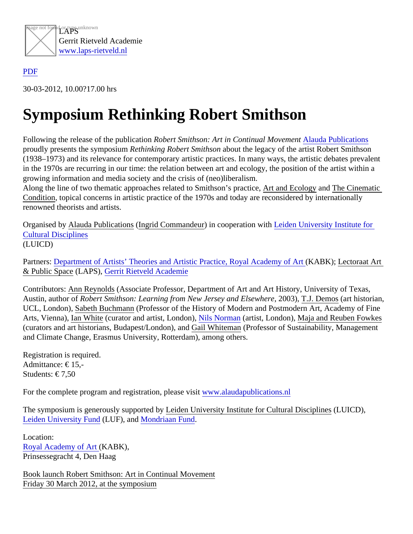

## [PDF](/web/sites/laps-rietveld.nl/www/wp-content/plugins/press-to-pdf/../../../wp-content/plugins/press-to-pdf/)

30-03-2012, 10.00?17.00 hrs

## Symposium Rethinking Robert Smithson

Following the release of the publicati Robert Smithson: Art in Continual Movement and Publications proudly presents the symposiur Rethinking Robert Smithson bout the legacy of the artist Robert Smithson (1938–1973) and its relevance for contemporary artistic practices. In many ways, the artistic debates prevalent in the 1970s are recurring in our time: the relation between art and ecology, the position of the artist within a growing information and media society and the crisis of (neo)liberalism.

Along the line of two thematic approaches related to Smithson's practice, and Ecology and The Cinematic Condition, topical concerns in artistic practice of the 1970s and today are reconsidered by internationally renowned theorists and artists.

Organised by Alauda Publication singrid Commandeurin cooperation wit[h Leiden University Institute fo](http://www.hum.leiden.edu/icd)r [Cultural Discipline](http://www.hum.leiden.edu/icd)s (LUICD)

PartnersDepartment of Artists' Theories and Artistic Practice, Royal Academy of KARBK); Lectoraat Art & Public Space(LAPS), [Gerrit Rietveld Academ](http://www.gerritrietveldacademie.nl/en/)ie

Contributors: Ann Reynolds (Associate Professor, Department of Art and Art History, University of Texas, Austin, author oRobert Smithson: Learning from New Jersey and Elsew<sup>here</sup> , T.J. Demogart historian, UCL, London), Sabeth Buchman (Professor of the History of Modern and Postmodern Art, Academy of Fine Arts, Vienna), Ian White (curator and artist, London), Ils Norman (artist, London), Maja and Reuben Fowkes (curators and art historians, Budapest/London), Canid Whiteman (Professor of Sustainability, Management and Climate Change, Erasmus University, Rotterdam), among others.

Registration is required. Admittance: € 15,- Students: € 7,50

For the complete program and registration, pleasewisit alaudapublications.nl

The symposium is generously supported biden University Institute for Cultural Disciplines (LUICD), [Leiden University Fun](http://www.luf.nl/Default.asp?engels=1)dLUF),an[d Mondriaan Fun](http://www.mondriaanfonds.nl/)d

Location: [Royal Academy of Art](http://www.kabk.nl/index.php) [\(](http://www.kabk.nl/index.php)KABK), Prinsessegracht 4, Den Haag

Book launch Robert Smithson: Art in Continual Movement Friday 30 March 2012, at the symposium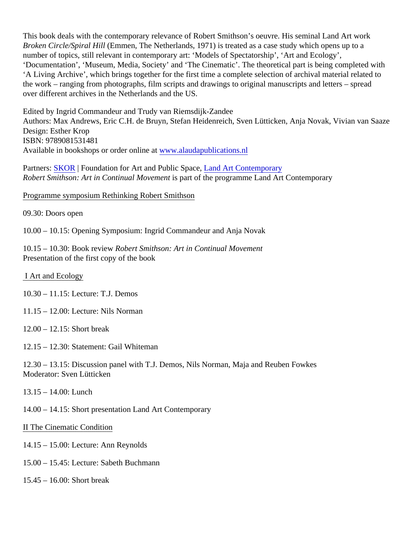This book deals with the contemporary relevance of Robert Smithson's oeuvre. His seminal Land Art work Broken Circle/Spiral Hill (Emmen, The Netherlands, 1971) is treated as a case study which opens up to a number of topics, still relevant in contemporary art: 'Models of Spectatorship', 'Art and Ecology', 'Documentation', 'Museum, Media, Society' and 'The Cinematic'. The theoretical part is being completed with 'A Living Archive', which brings together for the first time a complete selection of archival material related to the work – ranging from photographs, film scripts and drawings to original manuscripts and letters – spread over different archives in the Netherlands and the US.

Edited by Ingrid Commandeur and Trudy van Riemsdijk-Zandee Authors: Max Andrews, Eric C.H. de Bruyn, Stefan Heidenreich, Sven Lütticken, Anja Novak, Vivianazae Design: Esther Krop ISBN: 9789081531481 Available in bookshops or order online wat walaudapublications.nl

Partners SKOR | Foundation for Art and Public Spacend Art Contemporary Robert Smithson: Art in Continual Movement part of the programme Land Art Contemporary

Programme symposium Rethinking Robert Smithson

09.30: Doors open

10.00 – 10.15: Opening Symposium: Ingrid Commandeur and Anja Novak

10.15 – 10.30: Book revie Robert Smithson: Art in Continual Movement Presentation of the first copy of the book

## I Art and Ecology

- 10.30 11.15: Lecture: T.J. Demos
- 11.15 12.00: Lecture: Nils Norman
- 12.00 12.15: Short break
- 12.15 12.30: Statement: Gail Whiteman

12.30 – 13.15: Discussion panel with T.J. Demos, Nils Norman, Maja and Reuben Fowkes Moderator: Sven Lütticken

13.15 – 14.00: Lunch

14.00 – 14.15: Short presentation Land Art Contemporary

II The Cinematic Condition

- 14.15 15.00: Lecture: Ann Reynolds
- 15.00 15.45: Lecture: Sabeth Buchmann
- 15.45 16.00: Short break